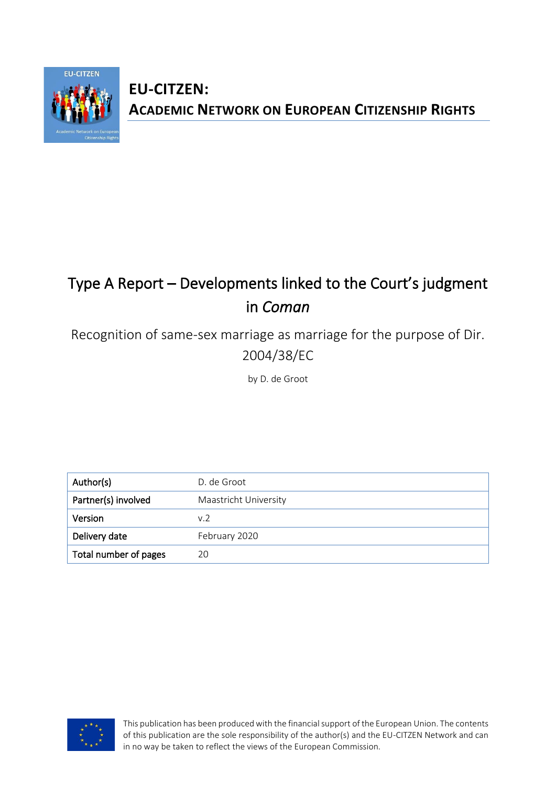

# **EU-CITZEN: ACADEMIC NETWORK ON EUROPEAN CITIZENSHIP RIGHTS**

# Type A Report – Developments linked to the Court's judgment in *Coman*

Recognition of same-sex marriage as marriage for the purpose of Dir. 2004/38/EC

by D. de Groot

| Author(s)             | D. de Groot           |
|-----------------------|-----------------------|
| Partner(s) involved   | Maastricht University |
| <b>Version</b>        | v.2                   |
| Delivery date         | February 2020         |
| Total number of pages | 20                    |



This publication has been produced with the financial support of the European Union. The contents of this publication are the sole responsibility of the author(s) and the EU-CITZEN Network and can in no way be taken to reflect the views of the European Commission.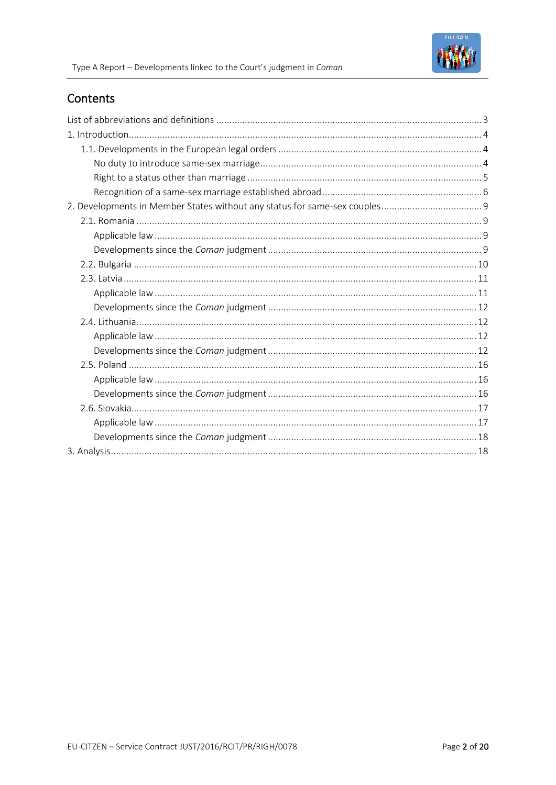# **Contents**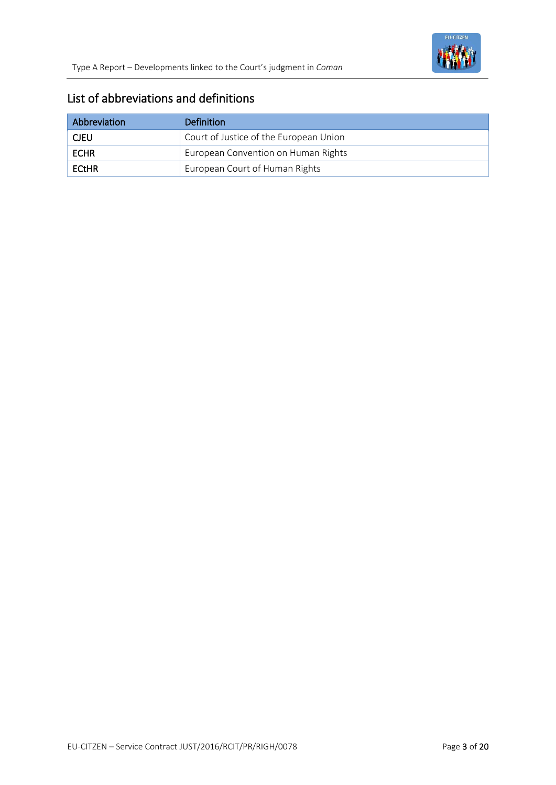

## List of abbreviations and definitions

| Abbreviation | Definition                             |
|--------------|----------------------------------------|
| <b>CJEU</b>  | Court of Justice of the European Union |
| <b>ECHR</b>  | European Convention on Human Rights    |
| ECtHR        | European Court of Human Rights         |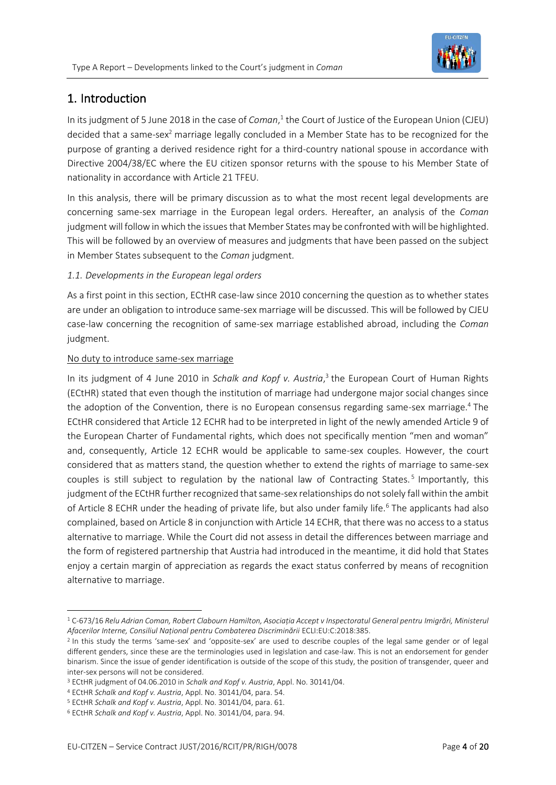

# 1. Introduction

In its judgment of 5 June 2018 in the case of *Coman*,<sup>1</sup> the Court of Justice of the European Union (CJEU) decided that a same-sex<sup>2</sup> marriage legally concluded in a Member State has to be recognized for the purpose of granting a derived residence right for a third-country national spouse in accordance with Directive 2004/38/EC where the EU citizen sponsor returns with the spouse to his Member State of nationality in accordance with Article 21 TFEU.

In this analysis, there will be primary discussion as to what the most recent legal developments are concerning same-sex marriage in the European legal orders. Hereafter, an analysis of the *Coman*  judgment will follow in which the issues that Member States may be confronted with will be highlighted. This will be followed by an overview of measures and judgments that have been passed on the subject in Member States subsequent to the *Coman* judgment.

#### *1.1. Developments in the European legal orders*

As a first point in this section, ECtHR case-law since 2010 concerning the question as to whether states are under an obligation to introduce same-sex marriage will be discussed. This will be followed by CJEU case-law concerning the recognition of same-sex marriage established abroad, including the *Coman* judgment.

#### No duty to introduce same-sex marriage

In its judgment of 4 June 2010 in *Schalk and Kopf v. Austria*, 3 the European Court of Human Rights (ECtHR) stated that even though the institution of marriage had undergone major social changes since the adoption of the Convention, there is no European consensus regarding same-sex marriage.<sup>4</sup> The ECtHR considered that Article 12 ECHR had to be interpreted in light of the newly amended Article 9 of the European Charter of Fundamental rights, which does not specifically mention "men and woman" and, consequently, Article 12 ECHR would be applicable to same-sex couples. However, the court considered that as matters stand, the question whether to extend the rights of marriage to same-sex couples is still subject to regulation by the national law of Contracting States.<sup>5</sup> Importantly, this judgment of the ECtHR further recognized that same-sex relationships do not solely fall within the ambit of Article 8 ECHR under the heading of private life, but also under family life.<sup>6</sup> The applicants had also complained, based on Article 8 in conjunction with Article 14 ECHR, that there was no access to a status alternative to marriage. While the Court did not assess in detail the differences between marriage and the form of registered partnership that Austria had introduced in the meantime, it did hold that States enjoy a certain margin of appreciation as regards the exact status conferred by means of recognition alternative to marriage.

<sup>1</sup> C-673/16 *Relu Adrian Coman, Robert Clabourn Hamilton, Asociația Accept v Inspectoratul General pentru Imigrări, Ministerul Afacerilor Interne, Consiliul Național pentru Combaterea Discriminării* ECLI:EU:C:2018:385.

<sup>&</sup>lt;sup>2</sup> In this study the terms 'same-sex' and 'opposite-sex' are used to describe couples of the legal same gender or of legal different genders, since these are the terminologies used in legislation and case-law. This is not an endorsement for gender binarism. Since the issue of gender identification is outside of the scope of this study, the position of transgender, queer and inter-sex persons will not be considered.

<sup>3</sup> ECtHR judgment of 04.06.2010 in *Schalk and Kopf v. Austria*, Appl. No. 30141/04.

<sup>4</sup> ECtHR *Schalk and Kopf v. Austria*, Appl. No. 30141/04, para. 54.

<sup>5</sup> ECtHR *Schalk and Kopf v. Austria*, Appl. No. 30141/04, para. 61.

<sup>6</sup> ECtHR *Schalk and Kopf v. Austria*, Appl. No. 30141/04, para. 94.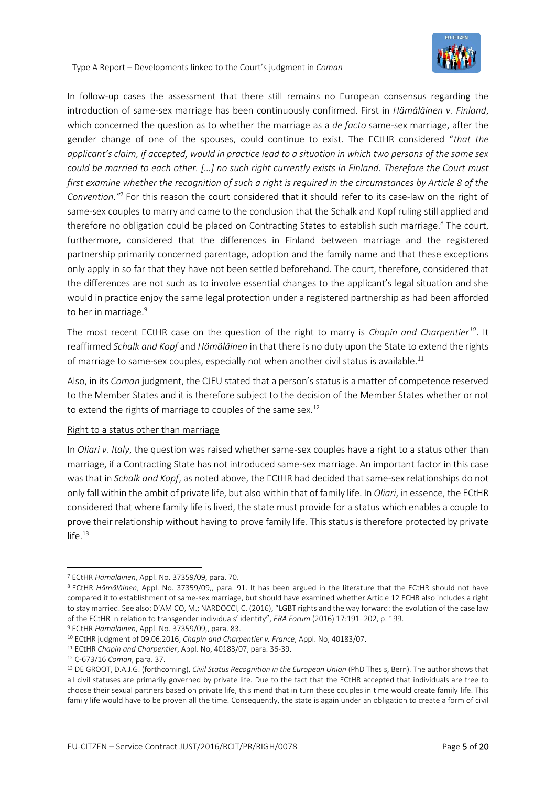

In follow-up cases the assessment that there still remains no European consensus regarding the introduction of same-sex marriage has been continuously confirmed. First in *Hämäläinen v. Finland*, which concerned the question as to whether the marriage as a *de facto* same-sex marriage, after the gender change of one of the spouses, could continue to exist. The ECtHR considered "*that the applicant's claim, if accepted, would in practice lead to a situation in which two persons of the same sex could be married to each other. […] no such right currently exists in Finland. Therefore the Court must first examine whether the recognition of such a right is required in the circumstances by Article 8 of the Convention."*<sup>7</sup> For this reason the court considered that it should refer to its case-law on the right of same-sex couples to marry and came to the conclusion that the Schalk and Kopf ruling still applied and therefore no obligation could be placed on Contracting States to establish such marriage.<sup>8</sup> The court, furthermore, considered that the differences in Finland between marriage and the registered partnership primarily concerned parentage, adoption and the family name and that these exceptions only apply in so far that they have not been settled beforehand. The court, therefore, considered that the differences are not such as to involve essential changes to the applicant's legal situation and she would in practice enjoy the same legal protection under a registered partnership as had been afforded to her in marriage.<sup>9</sup>

The most recent ECtHR case on the question of the right to marry is *Chapin and Charpentier<sup>10</sup>*. It reaffirmed *Schalk and Kopf* and *Hämäläinen* in that there is no duty upon the State to extend the rights of marriage to same-sex couples, especially not when another civil status is available.<sup>11</sup>

Also, in its *Coman* judgment, the CJEU stated that a person's status is a matter of competence reserved to the Member States and it is therefore subject to the decision of the Member States whether or not to extend the rights of marriage to couples of the same sex. $12$ 

#### Right to a status other than marriage

In *Oliari v. Italy*, the question was raised whether same-sex couples have a right to a status other than marriage, if a Contracting State has not introduced same-sex marriage. An important factor in this case was that in *Schalk and Kopf*, as noted above, the ECtHR had decided that same-sex relationships do not only fall within the ambit of private life, but also within that of family life. In *Oliari*, in essence, the ECtHR considered that where family life is lived, the state must provide for a status which enables a couple to prove their relationship without having to prove family life. This status is therefore protected by private  $life.<sup>13</sup>$ 

<sup>7</sup> ECtHR *Hämäläinen*, Appl. No. 37359/09, para. 70.

<sup>8</sup> ECtHR *Hämäläinen*, Appl. No. 37359/09,, para. 91. It has been argued in the literature that the ECtHR should not have compared it to establishment of same-sex marriage, but should have examined whether Article 12 ECHR also includes a right to stay married. See also: D'AMICO, M.; NARDOCCI, C. (2016), "LGBT rights and the way forward: the evolution of the case law of the ECtHR in relation to transgender individuals' identity", *ERA Forum* (2016) 17:191–202, p. 199. <sup>9</sup> ECtHR *Hämäläinen*, Appl. No. 37359/09,, para. 83.

<sup>10</sup> ECtHR judgment of 09.06.2016, *Chapin and Charpentier v. France*, Appl. No, 40183/07.

<sup>11</sup> ECtHR *Chapin and Charpentier*, Appl. No, 40183/07, para. 36-39.

<sup>12</sup> C-673/16 *Coman*, para. 37.

<sup>13</sup> DE GROOT, D.A.J.G. (forthcoming), *Civil Status Recognition in the European Union* (PhD Thesis, Bern). The author shows that all civil statuses are primarily governed by private life. Due to the fact that the ECtHR accepted that individuals are free to choose their sexual partners based on private life, this mend that in turn these couples in time would create family life. This family life would have to be proven all the time. Consequently, the state is again under an obligation to create a form of civil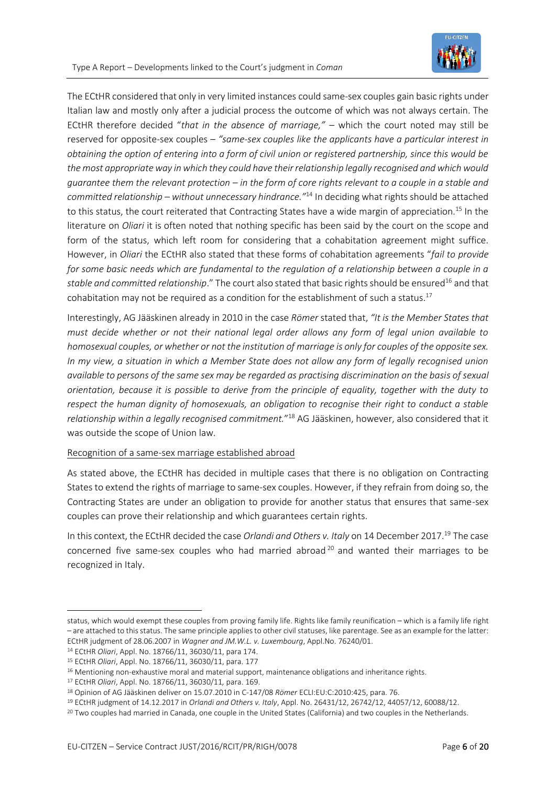

The ECtHR considered that only in very limited instances could same-sex couples gain basic rights under Italian law and mostly only after a judicial process the outcome of which was not always certain. The ECtHR therefore decided "*that in the absence of marriage,"* – which the court noted may still be reserved for opposite-sex couples – *"same-sex couples like the applicants have a particular interest in obtaining the option of entering into a form of civil union or registered partnership, since this would be the most appropriate way in which they could have their relationship legally recognised and which would guarantee them the relevant protection – in the form of core rights relevant to a couple in a stable and committed relationship – without unnecessary hindrance."*<sup>14</sup> In deciding what rights should be attached to this status, the court reiterated that Contracting States have a wide margin of appreciation*.* <sup>15</sup> In the literature on *Oliari* it is often noted that nothing specific has been said by the court on the scope and form of the status, which left room for considering that a cohabitation agreement might suffice. However, in *Oliari* the ECtHR also stated that these forms of cohabitation agreements "*fail to provide*  for some basic needs which are fundamental to the regulation of a relationship between a couple in a stable and committed relationship." The court also stated that basic rights should be ensured<sup>16</sup> and that cohabitation may not be required as a condition for the establishment of such a status.<sup>17</sup>

Interestingly, AG Jääskinen already in 2010 in the case *Römer* stated that, *"It is the Member States that must decide whether or not their national legal order allows any form of legal union available to homosexual couples, or whether or not the institution of marriage is only for couples of the opposite sex. In my view, a situation in which a Member State does not allow any form of legally recognised union available to persons of the same sex may be regarded as practising discrimination on the basis of sexual orientation, because it is possible to derive from the principle of equality, together with the duty to respect the human dignity of homosexuals, an obligation to recognise their right to conduct a stable relationship within a legally recognised commitment.*" <sup>18</sup> AG Jääskinen, however, also considered that it was outside the scope of Union law.

#### Recognition of a same-sex marriage established abroad

As stated above, the ECtHR has decided in multiple cases that there is no obligation on Contracting States to extend the rights of marriage to same-sex couples. However, if they refrain from doing so, the Contracting States are under an obligation to provide for another status that ensures that same-sex couples can prove their relationship and which guarantees certain rights.

In this context, the ECtHR decided the case *Orlandi and Others v. Italy* on 14 December 2017. <sup>19</sup> The case concerned five same-sex couples who had married abroad<sup>20</sup> and wanted their marriages to be recognized in Italy.

status, which would exempt these couples from proving family life. Rights like family reunification – which is a family life right – are attached to this status. The same principle applies to other civil statuses, like parentage. See as an example for the latter: ECtHR judgment of 28.06.2007 in *Wagner and JM.W.L. v. Luxembourg*, Appl.No. 76240/01.

<sup>14</sup> ECtHR *Oliari*, Appl. No. 18766/11, 36030/11, para 174.

<sup>15</sup> ECtHR *Oliari*, Appl. No. 18766/11, 36030/11, para. 177

<sup>&</sup>lt;sup>16</sup> Mentioning non-exhaustive moral and material support, maintenance obligations and inheritance rights.

<sup>17</sup> ECtHR *Oliari*, Appl. No. 18766/11, 36030/11*,* para. 169.

<sup>18</sup> Opinion of AG Jääskinen deliver on 15.07.2010 in C-147/08 *Römer* ECLI:EU:C:2010:425, para. 76.

<sup>19</sup> ECtHR judgment of 14.12.2017 in *Orlandi and Others v. Italy*, Appl. No. 26431/12, 26742/12, 44057/12, 60088/12.

<sup>&</sup>lt;sup>20</sup> Two couples had married in Canada, one couple in the United States (California) and two couples in the Netherlands.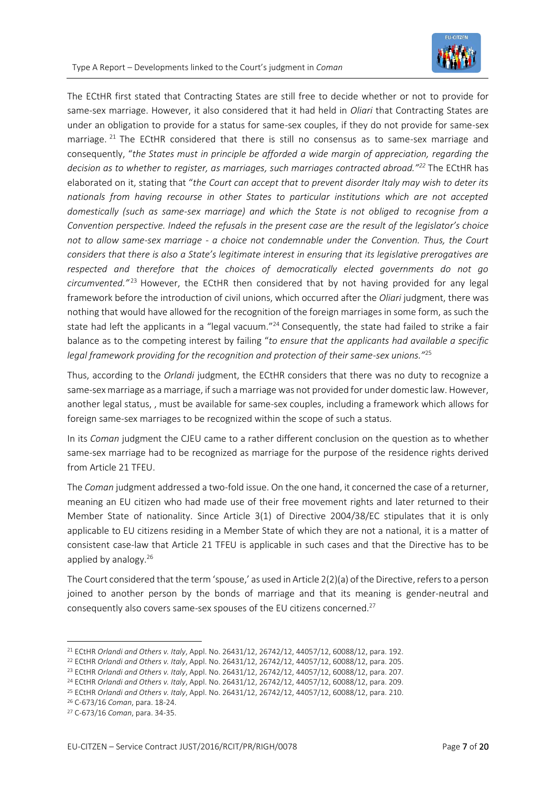

The ECtHR first stated that Contracting States are still free to decide whether or not to provide for same-sex marriage. However, it also considered that it had held in *Oliari* that Contracting States are under an obligation to provide for a status for same-sex couples, if they do not provide for same-sex marriage.  $^{21}$  The ECtHR considered that there is still no consensus as to same-sex marriage and consequently, "*the States must in principle be afforded a wide margin of appreciation, regarding the decision as to whether to register, as marriages, such marriages contracted abroad."<sup>22</sup>* The ECtHR has elaborated on it, stating that "*the Court can accept that to prevent disorder Italy may wish to deter its nationals from having recourse in other States to particular institutions which are not accepted domestically (such as same-sex marriage) and which the State is not obliged to recognise from a Convention perspective. Indeed the refusals in the present case are the result of the legislator's choice not to allow same-sex marriage - a choice not condemnable under the Convention. Thus, the Court considers that there is also a State's legitimate interest in ensuring that its legislative prerogatives are respected and therefore that the choices of democratically elected governments do not go circumvented."* <sup>23</sup> However, the ECtHR then considered that by not having provided for any legal framework before the introduction of civil unions, which occurred after the *Oliari* judgment, there was nothing that would have allowed for the recognition of the foreign marriages in some form, as such the state had left the applicants in a "legal vacuum."<sup>24</sup> Consequently, the state had failed to strike a fair balance as to the competing interest by failing "*to ensure that the applicants had available a specific legal framework providing for the recognition and protection of their same-sex unions."*<sup>25</sup>

Thus, according to the *Orlandi* judgment, the ECtHR considers that there was no duty to recognize a same-sex marriage as a marriage, if such a marriage was not provided for under domestic law. However, another legal status, , must be available for same-sex couples, including a framework which allows for foreign same-sex marriages to be recognized within the scope of such a status.

In its *Coman* judgment the CJEU came to a rather different conclusion on the question as to whether same-sex marriage had to be recognized as marriage for the purpose of the residence rights derived from Article 21 TFEU.

The *Coman* judgment addressed a two-fold issue. On the one hand, it concerned the case of a returner, meaning an EU citizen who had made use of their free movement rights and later returned to their Member State of nationality. Since Article 3(1) of Directive 2004/38/EC stipulates that it is only applicable to EU citizens residing in a Member State of which they are not a national, it is a matter of consistent case-law that Article 21 TFEU is applicable in such cases and that the Directive has to be applied by analogy.<sup>26</sup>

The Court considered that the term 'spouse,' as used in Article  $2(2)(a)$  of the Directive, refers to a person joined to another person by the bonds of marriage and that its meaning is gender-neutral and consequently also covers same-sex spouses of the EU citizens concerned. 27

<sup>21</sup> ECtHR *Orlandi and Others v. Italy*, Appl. No. 26431/12, 26742/12, 44057/12, 60088/12, para. 192.

<sup>22</sup> ECtHR *Orlandi and Others v. Italy*, Appl. No. 26431/12, 26742/12, 44057/12, 60088/12, para. 205.

<sup>23</sup> ECtHR *Orlandi and Others v. Italy*, Appl. No. 26431/12, 26742/12, 44057/12, 60088/12, para. 207.

<sup>24</sup> ECtHR *Orlandi and Others v. Italy*, Appl. No. 26431/12, 26742/12, 44057/12, 60088/12, para. 209.

<sup>25</sup> ECtHR *Orlandi and Others v. Italy*, Appl. No. 26431/12, 26742/12, 44057/12, 60088/12, para. 210.

<sup>26</sup> C-673/16 *Coman*, para. 18-24.

<sup>27</sup> C-673/16 *Coman*, para. 34-35.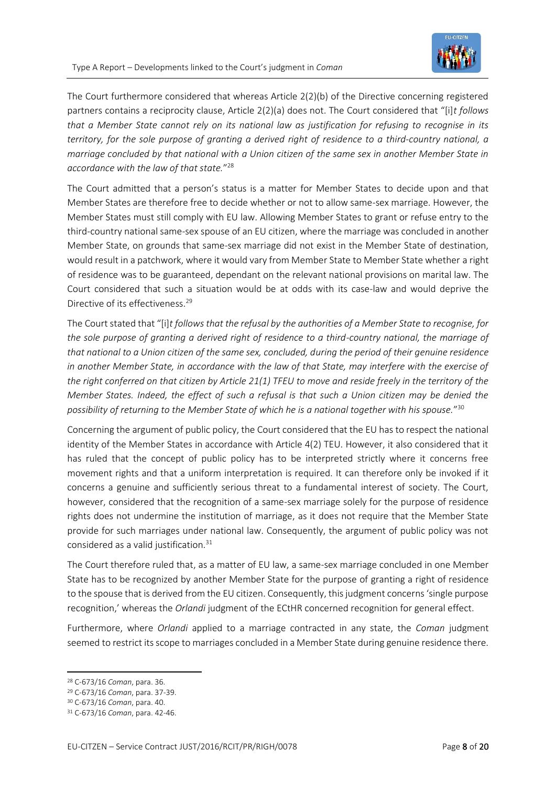

The Court furthermore considered that whereas Article 2(2)(b) of the Directive concerning registered partners contains a reciprocity clause, Article 2(2)(a) does not. The Court considered that "[i]*t follows that a Member State cannot rely on its national law as justification for refusing to recognise in its territory, for the sole purpose of granting a derived right of residence to a third-country national, a marriage concluded by that national with a Union citizen of the same sex in another Member State in accordance with the law of that state.*" 28

The Court admitted that a person's status is a matter for Member States to decide upon and that Member States are therefore free to decide whether or not to allow same-sex marriage. However, the Member States must still comply with EU law. Allowing Member States to grant or refuse entry to the third-country national same-sex spouse of an EU citizen, where the marriage was concluded in another Member State, on grounds that same-sex marriage did not exist in the Member State of destination, would result in a patchwork, where it would vary from Member State to Member State whether a right of residence was to be guaranteed, dependant on the relevant national provisions on marital law. The Court considered that such a situation would be at odds with its case-law and would deprive the Directive of its effectiveness.<sup>29</sup>

The Court stated that "[i]*t follows that the refusal by the authorities of a Member State to recognise, for the sole purpose of granting a derived right of residence to a third-country national, the marriage of that national to a Union citizen of the same sex, concluded, during the period of their genuine residence in another Member State, in accordance with the law of that State, may interfere with the exercise of the right conferred on that citizen by Article 21(1) TFEU to move and reside freely in the territory of the Member States. Indeed, the effect of such a refusal is that such a Union citizen may be denied the possibility of returning to the Member State of which he is a national together with his spouse.*" 30

Concerning the argument of public policy, the Court considered that the EU has to respect the national identity of the Member States in accordance with Article 4(2) TEU. However, it also considered that it has ruled that the concept of public policy has to be interpreted strictly where it concerns free movement rights and that a uniform interpretation is required. It can therefore only be invoked if it concerns a genuine and sufficiently serious threat to a fundamental interest of society. The Court, however, considered that the recognition of a same-sex marriage solely for the purpose of residence rights does not undermine the institution of marriage, as it does not require that the Member State provide for such marriages under national law. Consequently, the argument of public policy was not considered as a valid justification.<sup>31</sup>

The Court therefore ruled that, as a matter of EU law, a same-sex marriage concluded in one Member State has to be recognized by another Member State for the purpose of granting a right of residence to the spouse that is derived from the EU citizen. Consequently, this judgment concerns 'single purpose recognition,' whereas the *Orlandi* judgment of the ECtHR concerned recognition for general effect.

Furthermore, where *Orlandi* applied to a marriage contracted in any state, the *Coman* judgment seemed to restrict its scope to marriages concluded in a Member State during genuine residence there.

<sup>28</sup> C-673/16 *Coman*, para. 36.

<sup>29</sup> C-673/16 *Coman*, para. 37-39.

<sup>30</sup> C-673/16 *Coman*, para. 40.

<sup>31</sup> C-673/16 *Coman*, para. 42-46.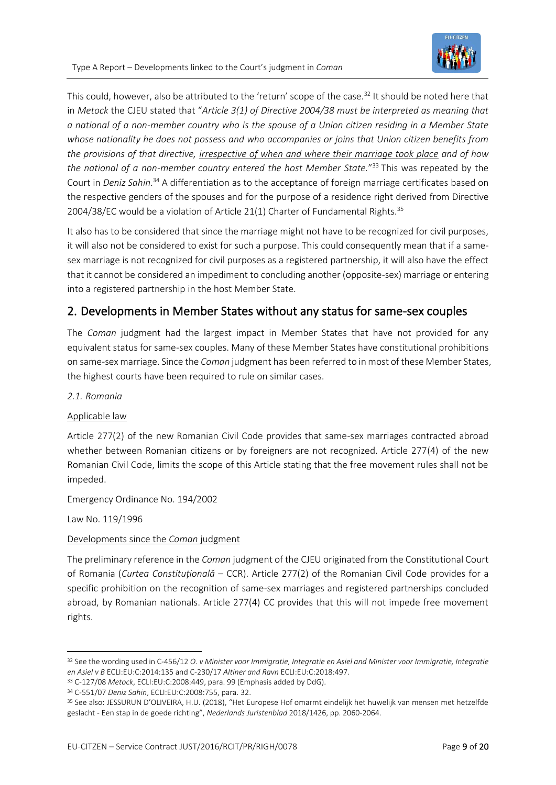

This could, however, also be attributed to the 'return' scope of the case.<sup>32</sup> It should be noted here that in *Metock* the CJEU stated that "*Article 3(1) of Directive 2004/38 must be interpreted as meaning that a national of a non-member country who is the spouse of a Union citizen residing in a Member State whose nationality he does not possess and who accompanies or joins that Union citizen benefits from the provisions of that directive, irrespective of when and where their marriage took place and of how the national of a non-member country entered the host Member State.*" <sup>33</sup> This was repeated by the Court in *Deniz Sahin*. <sup>34</sup> A differentiation as to the acceptance of foreign marriage certificates based on the respective genders of the spouses and for the purpose of a residence right derived from Directive 2004/38/EC would be a violation of Article 21(1) Charter of Fundamental Rights.<sup>35</sup>

It also has to be considered that since the marriage might not have to be recognized for civil purposes, it will also not be considered to exist for such a purpose. This could consequently mean that if a samesex marriage is not recognized for civil purposes as a registered partnership, it will also have the effect that it cannot be considered an impediment to concluding another (opposite-sex) marriage or entering into a registered partnership in the host Member State.

## 2. Developments in Member States without any status for same-sex couples

The *Coman* judgment had the largest impact in Member States that have not provided for any equivalent status for same-sex couples. Many of these Member States have constitutional prohibitions on same-sex marriage. Since the *Coman* judgment has been referred to in most of these Member States, the highest courts have been required to rule on similar cases.

*2.1. Romania*

#### Applicable law

Article 277(2) of the new Romanian Civil Code provides that same-sex marriages contracted abroad whether between Romanian citizens or by foreigners are not recognized. Article 277(4) of the new Romanian Civil Code, limits the scope of this Article stating that the free movement rules shall not be impeded.

Emergency Ordinance No. 194/2002

Law No. 119/1996

#### Developments since the *Coman* judgment

The preliminary reference in the *Coman* judgment of the CJEU originated from the Constitutional Court of Romania (*Curtea Constituțională* – CCR). Article 277(2) of the Romanian Civil Code provides for a specific prohibition on the recognition of same-sex marriages and registered partnerships concluded abroad, by Romanian nationals. Article 277(4) CC provides that this will not impede free movement rights.

<sup>32</sup> See the wording used in C-456/12 *O. v Minister voor Immigratie, Integratie en Asiel and Minister voor Immigratie, Integratie en Asiel v B* ECLI:EU:C:2014:135 and C-230/17 *Altiner and Ravn* ECLI:EU:C:2018:497.

<sup>33</sup> C-127/08 *Metock*, ECLI:EU:C:2008:449, para. 99 (Emphasis added by DdG).

<sup>34</sup> C-551/07 *Deniz Sahin*, ECLI:EU:C:2008:755, para. 32.

<sup>35</sup> See also: JESSURUN D'OLIVEIRA, H.U. (2018), "Het Europese Hof omarmt eindelijk het huwelijk van mensen met hetzelfde geslacht - Een stap in de goede richting", *Nederlands Juristenblad* 2018/1426, pp. 2060-2064.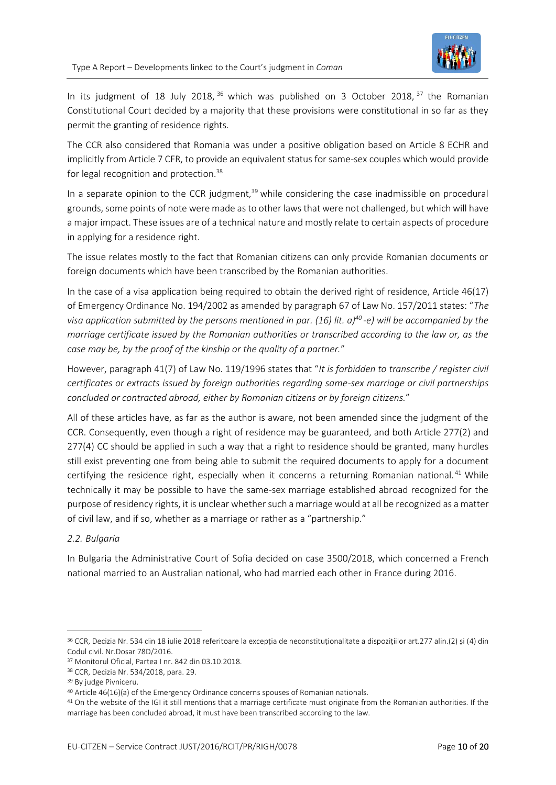

In its judgment of 18 July 2018,  $36$  which was published on 3 October 2018,  $37$  the Romanian Constitutional Court decided by a majority that these provisions were constitutional in so far as they permit the granting of residence rights.

The CCR also considered that Romania was under a positive obligation based on Article 8 ECHR and implicitly from Article 7 CFR, to provide an equivalent status for same-sex couples which would provide for legal recognition and protection.<sup>38</sup>

In a separate opinion to the CCR judgment,<sup>39</sup> while considering the case inadmissible on procedural grounds, some points of note were made as to other laws that were not challenged, but which will have a major impact. These issues are of a technical nature and mostly relate to certain aspects of procedure in applying for a residence right.

The issue relates mostly to the fact that Romanian citizens can only provide Romanian documents or foreign documents which have been transcribed by the Romanian authorities.

In the case of a visa application being required to obtain the derived right of residence, Article 46(17) of Emergency Ordinance No. 194/2002 as amended by paragraph 67 of Law No. 157/2011 states: "*The visa application submitted by the persons mentioned in par. (16) lit. a)<sup>40</sup> -e) will be accompanied by the marriage certificate issued by the Romanian authorities or transcribed according to the law or, as the case may be, by the proof of the kinship or the quality of a partner.*"

However, paragraph 41(7) of Law No. 119/1996 states that "*It is forbidden to transcribe / register civil certificates or extracts issued by foreign authorities regarding same-sex marriage or civil partnerships concluded or contracted abroad, either by Romanian citizens or by foreign citizens.*"

All of these articles have, as far as the author is aware, not been amended since the judgment of the CCR. Consequently, even though a right of residence may be guaranteed, and both Article 277(2) and 277(4) CC should be applied in such a way that a right to residence should be granted, many hurdles still exist preventing one from being able to submit the required documents to apply for a document certifying the residence right, especially when it concerns a returning Romanian national.<sup>41</sup> While technically it may be possible to have the same-sex marriage established abroad recognized for the purpose of residency rights, it is unclear whether such a marriage would at all be recognized as a matter of civil law, and if so, whether as a marriage or rather as a "partnership."

#### *2.2. Bulgaria*

In Bulgaria the Administrative Court of Sofia decided on case 3500/2018, which concerned a French national married to an Australian national, who had married each other in France during 2016.

<sup>36</sup> CCR, Decizia Nr. 534 din 18 iulie 2018 referitoare la excepția de neconstituționalitate a dispozițiilor art.277 alin.(2) și (4) din Codul civil. Nr.Dosar 78D/2016.

<sup>37</sup> Monitorul Oficial, Partea I nr. 842 din 03.10.2018.

<sup>38</sup> CCR, Decizia Nr. 534/2018, para. 29.

<sup>39</sup> By judge Pivniceru.

<sup>&</sup>lt;sup>40</sup> Article 46(16)(a) of the Emergency Ordinance concerns spouses of Romanian nationals.

<sup>41</sup> On the website of the IGI it still mentions that a marriage certificate must originate from the Romanian authorities. If the marriage has been concluded abroad, it must have been transcribed according to the law.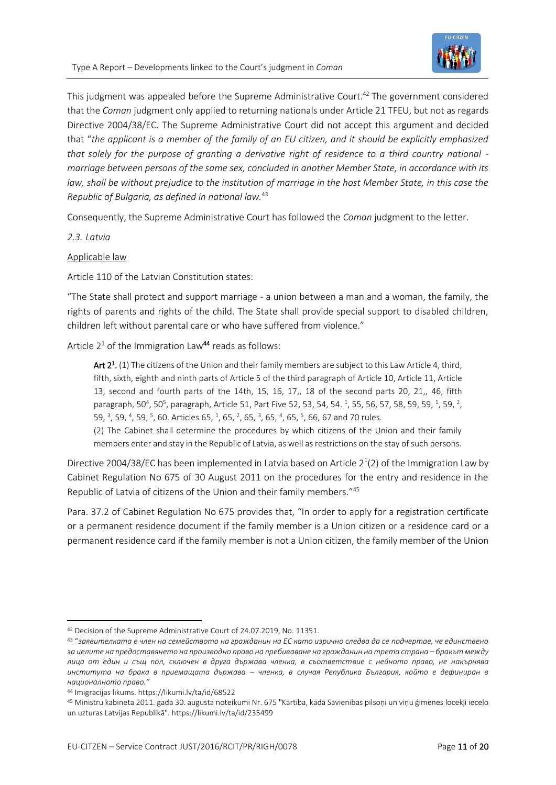

This judgment was appealed before the Supreme Administrative Court.<sup>42</sup> The government considered that the *Coman* judgment only applied to returning nationals under Article 21 TFEU, but not as regards Directive 2004/38/EC. The Supreme Administrative Court did not accept this argument and decided that "*the applicant is a member of the family of an EU citizen, and it should be explicitly emphasized that solely for the purpose of granting a derivative right of residence to a third country national marriage between persons of the same sex, concluded in another Member State, in accordance with its law, shall be without prejudice to the institution of marriage in the host Member State, in this case the Republic of Bulgaria, as defined in national law.*<sup>43</sup>

Consequently, the Supreme Administrative Court has followed the *Coman* judgment to the letter.

*2.3. Latvia*

Applicable law

Article 110 of the Latvian Constitution states:

"The State shall protect and support marriage - a union between a man and a woman, the family, the rights of parents and rights of the child. The State shall provide special support to disabled children, children left without parental care or who have suffered from violence."

Article  $2<sup>1</sup>$  of the Immigration Law<sup>44</sup> reads as follows:

Art 2<sup>1</sup>. (1) The citizens of the Union and their family members are subject to this Law Article 4, third, fifth, sixth, eighth and ninth parts of Article 5 of the third paragraph of Article 10, Article 11, Article 13, second and fourth parts of the 14th, 15, 16, 17,, 18 of the second parts 20, 21,, 46, fifth paragraph, 50<sup>4</sup>, 50<sup>5</sup>, paragraph, Article 51, Part Five 52, 53, 54, 54. <sup>1</sup>, 55, 56, 57, 58, 59, 59, <sup>1</sup>, 59, <sup>2</sup>, 59, <sup>3</sup>, 59, <sup>4</sup>, 59, <sup>5</sup>, 60. Articles 65, <sup>1</sup>, 65, <sup>2</sup>, 65, <sup>3</sup>, 65, <sup>4</sup>, 65, <sup>5</sup>, 66, 67 and 70 rules.

(2) The Cabinet shall determine the procedures by which citizens of the Union and their family members enter and stay in the Republic of Latvia, as well as restrictions on the stay of such persons.

Directive 2004/38/EC has been implemented in Latvia based on Article  $2^1(2)$  of the Immigration Law by Cabinet Regulation No 675 of 30 August 2011 on the procedures for the entry and residence in the Republic of Latvia of citizens of the Union and their family members." 45

Para. 37.2 of Cabinet Regulation No 675 provides that, "In order to apply for a registration certificate or a permanent residence document if the family member is a Union citizen or a residence card or a permanent residence card if the family member is not a Union citizen, the family member of the Union

<sup>42</sup> Decision of the Supreme Administrative Court of 24.07.2019, No. 11351.

<sup>43</sup> "*заявителката е член на семейството на гражданин на ЕС като изрично следва да се подчертае, че единствено за целите на предоставянето на производно право на пребиваване на гражданин на трета страна – бракът между лица от един и същ пол, сключен в друга държава членка, в съответствие с нейното право, не накърнява института на брака в приемащата държава – членка, в случая Република България, който е дефиниран в националното право."*

<sup>44</sup> Imigrācijas likums. https://likumi.lv/ta/id/68522

<sup>45</sup> Ministru kabineta 2011. gada 30. augusta noteikumi Nr. 675 "Kārtība, kādā Savienības pilsoņi un viņu ģimenes locekļi ieceļo un uzturas Latvijas Republikā". https://likumi.lv/ta/id/235499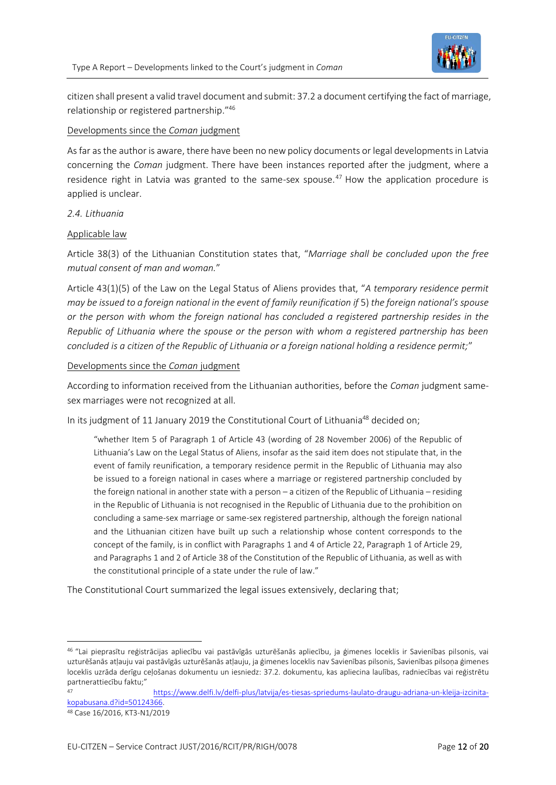

citizen shall present a valid travel document and submit: 37.2 a document certifying the fact of marriage, relationship or registered partnership." 46

#### Developments since the *Coman* judgment

As far as the author is aware, there have been no new policy documents or legal developments in Latvia concerning the *Coman* judgment. There have been instances reported after the judgment, where a residence right in Latvia was granted to the same-sex spouse.<sup>47</sup> How the application procedure is applied is unclear.

#### *2.4. Lithuania*

#### Applicable law

Article 38(3) of the Lithuanian Constitution states that, "*Marriage shall be concluded upon the free mutual consent of man and woman.*"

Article 43(1)(5) of the Law on the Legal Status of Aliens provides that, "*A temporary residence permit may be issued to a foreign national in the event of family reunification if* 5) *the foreign national's spouse or the person with whom the foreign national has concluded a registered partnership resides in the Republic of Lithuania where the spouse or the person with whom a registered partnership has been concluded is a citizen of the Republic of Lithuania or a foreign national holding a residence permit;*"

#### Developments since the *Coman* judgment

According to information received from the Lithuanian authorities, before the *Coman* judgment samesex marriages were not recognized at all.

In its judgment of 11 January 2019 the Constitutional Court of Lithuania<sup>48</sup> decided on;

"whether Item 5 of Paragraph 1 of Article 43 (wording of 28 November 2006) of the Republic of Lithuania's Law on the Legal Status of Aliens, insofar as the said item does not stipulate that, in the event of family reunification, a temporary residence permit in the Republic of Lithuania may also be issued to a foreign national in cases where a marriage or registered partnership concluded by the foreign national in another state with a person – a citizen of the Republic of Lithuania – residing in the Republic of Lithuania is not recognised in the Republic of Lithuania due to the prohibition on concluding a same-sex marriage or same-sex registered partnership, although the foreign national and the Lithuanian citizen have built up such a relationship whose content corresponds to the concept of the family, is in conflict with Paragraphs 1 and 4 of Article 22, Paragraph 1 of Article 29, and Paragraphs 1 and 2 of Article 38 of the Constitution of the Republic of Lithuania, as well as with the constitutional principle of a state under the rule of law."

The Constitutional Court summarized the legal issues extensively, declaring that;

<sup>46</sup> "Lai pieprasītu reģistrācijas apliecību vai pastāvīgās uzturēšanās apliecību, ja ģimenes loceklis ir Savienības pilsonis, vai uzturēšanās atļauju vai pastāvīgās uzturēšanās atļauju, ja ģimenes loceklis nav Savienības pilsonis, Savienības pilsoņa ģimenes loceklis uzrāda derīgu ceļošanas dokumentu un iesniedz: 37.2. dokumentu, kas apliecina laulības, radniecības vai reģistrētu partnerattiecību faktu;"

<sup>47</sup> [https://www.delfi.lv/delfi-plus/latvija/es-tiesas-spriedums-laulato-draugu-adriana-un-kleija-izcinita](https://www.delfi.lv/delfi-plus/latvija/es-tiesas-spriedums-laulato-draugu-adriana-un-kleija-izcinita-kopabusana.d?id=50124366)[kopabusana.d?id=50124366.](https://www.delfi.lv/delfi-plus/latvija/es-tiesas-spriedums-laulato-draugu-adriana-un-kleija-izcinita-kopabusana.d?id=50124366)

<sup>48</sup> Case 16/2016, KT3-N1/2019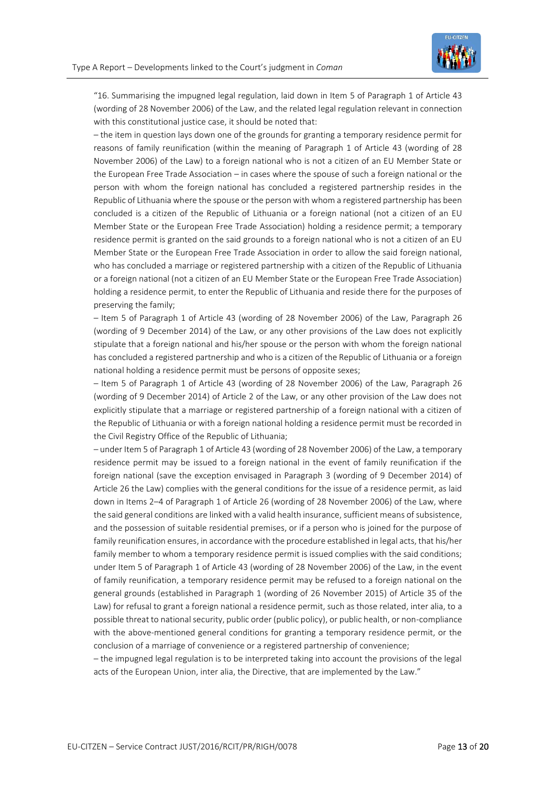

"16. Summarising the impugned legal regulation, laid down in Item 5 of Paragraph 1 of Article 43 (wording of 28 November 2006) of the Law, and the related legal regulation relevant in connection with this constitutional justice case, it should be noted that:

– the item in question lays down one of the grounds for granting a temporary residence permit for reasons of family reunification (within the meaning of Paragraph 1 of Article 43 (wording of 28 November 2006) of the Law) to a foreign national who is not a citizen of an EU Member State or the European Free Trade Association – in cases where the spouse of such a foreign national or the person with whom the foreign national has concluded a registered partnership resides in the Republic of Lithuania where the spouse or the person with whom a registered partnership has been concluded is a citizen of the Republic of Lithuania or a foreign national (not a citizen of an EU Member State or the European Free Trade Association) holding a residence permit; a temporary residence permit is granted on the said grounds to a foreign national who is not a citizen of an EU Member State or the European Free Trade Association in order to allow the said foreign national, who has concluded a marriage or registered partnership with a citizen of the Republic of Lithuania or a foreign national (not a citizen of an EU Member State or the European Free Trade Association) holding a residence permit, to enter the Republic of Lithuania and reside there for the purposes of preserving the family;

– Item 5 of Paragraph 1 of Article 43 (wording of 28 November 2006) of the Law, Paragraph 26 (wording of 9 December 2014) of the Law, or any other provisions of the Law does not explicitly stipulate that a foreign national and his/her spouse or the person with whom the foreign national has concluded a registered partnership and who is a citizen of the Republic of Lithuania or a foreign national holding a residence permit must be persons of opposite sexes;

– Item 5 of Paragraph 1 of Article 43 (wording of 28 November 2006) of the Law, Paragraph 26 (wording of 9 December 2014) of Article 2 of the Law, or any other provision of the Law does not explicitly stipulate that a marriage or registered partnership of a foreign national with a citizen of the Republic of Lithuania or with a foreign national holding a residence permit must be recorded in the Civil Registry Office of the Republic of Lithuania;

– under Item 5 of Paragraph 1 of Article 43 (wording of 28 November 2006) of the Law, a temporary residence permit may be issued to a foreign national in the event of family reunification if the foreign national (save the exception envisaged in Paragraph 3 (wording of 9 December 2014) of Article 26 the Law) complies with the general conditions for the issue of a residence permit, as laid down in Items 2–4 of Paragraph 1 of Article 26 (wording of 28 November 2006) of the Law, where the said general conditions are linked with a valid health insurance, sufficient means of subsistence, and the possession of suitable residential premises, or if a person who is joined for the purpose of family reunification ensures, in accordance with the procedure established in legal acts, that his/her family member to whom a temporary residence permit is issued complies with the said conditions; under Item 5 of Paragraph 1 of Article 43 (wording of 28 November 2006) of the Law, in the event of family reunification, a temporary residence permit may be refused to a foreign national on the general grounds (established in Paragraph 1 (wording of 26 November 2015) of Article 35 of the Law) for refusal to grant a foreign national a residence permit, such as those related, inter alia, to a possible threat to national security, public order (public policy), or public health, or non-compliance with the above-mentioned general conditions for granting a temporary residence permit, or the conclusion of a marriage of convenience or a registered partnership of convenience;

– the impugned legal regulation is to be interpreted taking into account the provisions of the legal acts of the European Union, inter alia, the Directive, that are implemented by the Law."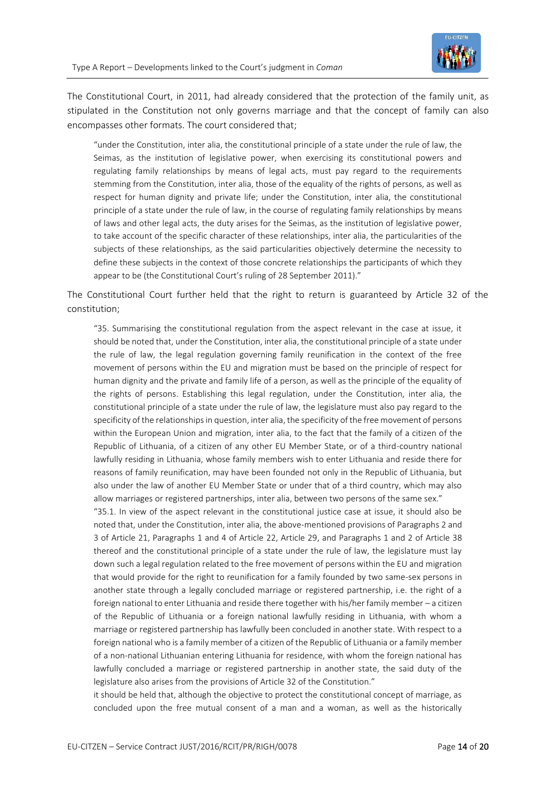

The Constitutional Court, in 2011, had already considered that the protection of the family unit, as stipulated in the Constitution not only governs marriage and that the concept of family can also encompasses other formats. The court considered that;

"under the Constitution, inter alia, the constitutional principle of a state under the rule of law, the Seimas, as the institution of legislative power, when exercising its constitutional powers and regulating family relationships by means of legal acts, must pay regard to the requirements stemming from the Constitution, inter alia, those of the equality of the rights of persons, as well as respect for human dignity and private life; under the Constitution, inter alia, the constitutional principle of a state under the rule of law, in the course of regulating family relationships by means of laws and other legal acts, the duty arises for the Seimas, as the institution of legislative power, to take account of the specific character of these relationships, inter alia, the particularities of the subjects of these relationships, as the said particularities objectively determine the necessity to define these subjects in the context of those concrete relationships the participants of which they appear to be (the Constitutional Court's ruling of 28 September 2011)."

The Constitutional Court further held that the right to return is guaranteed by Article 32 of the constitution;

"35. Summarising the constitutional regulation from the aspect relevant in the case at issue, it should be noted that, under the Constitution, inter alia, the constitutional principle of a state under the rule of law, the legal regulation governing family reunification in the context of the free movement of persons within the EU and migration must be based on the principle of respect for human dignity and the private and family life of a person, as well as the principle of the equality of the rights of persons. Establishing this legal regulation, under the Constitution, inter alia, the constitutional principle of a state under the rule of law, the legislature must also pay regard to the specificity of the relationships in question, inter alia, the specificity of the free movement of persons within the European Union and migration, inter alia, to the fact that the family of a citizen of the Republic of Lithuania, of a citizen of any other EU Member State, or of a third-country national lawfully residing in Lithuania, whose family members wish to enter Lithuania and reside there for reasons of family reunification, may have been founded not only in the Republic of Lithuania, but also under the law of another EU Member State or under that of a third country, which may also allow marriages or registered partnerships, inter alia, between two persons of the same sex."

"35.1. In view of the aspect relevant in the constitutional justice case at issue, it should also be noted that, under the Constitution, inter alia, the above-mentioned provisions of Paragraphs 2 and 3 of Article 21, Paragraphs 1 and 4 of Article 22, Article 29, and Paragraphs 1 and 2 of Article 38 thereof and the constitutional principle of a state under the rule of law, the legislature must lay down such a legal regulation related to the free movement of persons within the EU and migration that would provide for the right to reunification for a family founded by two same-sex persons in another state through a legally concluded marriage or registered partnership, i.e. the right of a foreign national to enter Lithuania and reside there together with his/her family member – a citizen of the Republic of Lithuania or a foreign national lawfully residing in Lithuania, with whom a marriage or registered partnership has lawfully been concluded in another state. With respect to a foreign national who is a family member of a citizen of the Republic of Lithuania or a family member of a non-national Lithuanian entering Lithuania for residence, with whom the foreign national has lawfully concluded a marriage or registered partnership in another state, the said duty of the legislature also arises from the provisions of Article 32 of the Constitution."

it should be held that, although the objective to protect the constitutional concept of marriage, as concluded upon the free mutual consent of a man and a woman, as well as the historically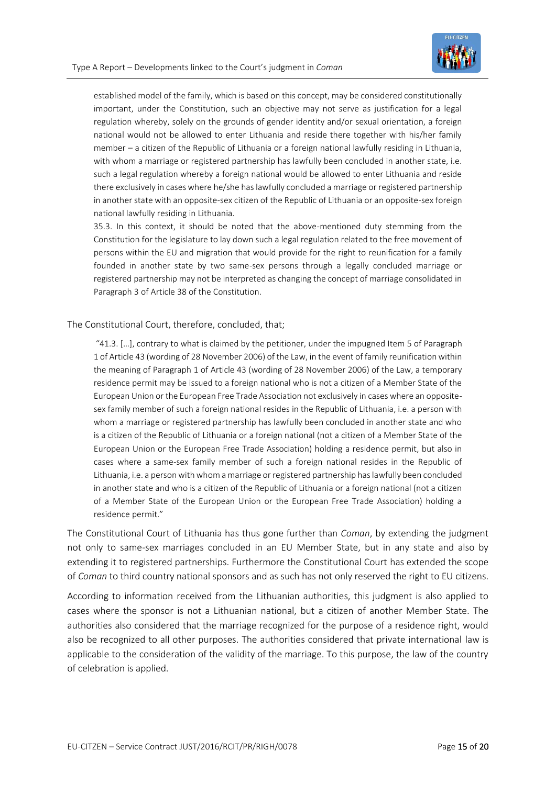

established model of the family, which is based on this concept, may be considered constitutionally important, under the Constitution, such an objective may not serve as justification for a legal regulation whereby, solely on the grounds of gender identity and/or sexual orientation, a foreign national would not be allowed to enter Lithuania and reside there together with his/her family member – a citizen of the Republic of Lithuania or a foreign national lawfully residing in Lithuania, with whom a marriage or registered partnership has lawfully been concluded in another state, i.e. such a legal regulation whereby a foreign national would be allowed to enter Lithuania and reside there exclusively in cases where he/she has lawfully concluded a marriage or registered partnership in another state with an opposite-sex citizen of the Republic of Lithuania or an opposite-sex foreign national lawfully residing in Lithuania.

35.3. In this context, it should be noted that the above-mentioned duty stemming from the Constitution for the legislature to lay down such a legal regulation related to the free movement of persons within the EU and migration that would provide for the right to reunification for a family founded in another state by two same-sex persons through a legally concluded marriage or registered partnership may not be interpreted as changing the concept of marriage consolidated in Paragraph 3 of Article 38 of the Constitution.

#### The Constitutional Court, therefore, concluded, that;

"41.3. […], contrary to what is claimed by the petitioner, under the impugned Item 5 of Paragraph 1 of Article 43 (wording of 28 November 2006) of the Law, in the event of family reunification within the meaning of Paragraph 1 of Article 43 (wording of 28 November 2006) of the Law, a temporary residence permit may be issued to a foreign national who is not a citizen of a Member State of the European Union or the European Free Trade Association not exclusively in cases where an oppositesex family member of such a foreign national resides in the Republic of Lithuania, i.e. a person with whom a marriage or registered partnership has lawfully been concluded in another state and who is a citizen of the Republic of Lithuania or a foreign national (not a citizen of a Member State of the European Union or the European Free Trade Association) holding a residence permit, but also in cases where a same-sex family member of such a foreign national resides in the Republic of Lithuania, i.e. a person with whom a marriage or registered partnership has lawfully been concluded in another state and who is a citizen of the Republic of Lithuania or a foreign national (not a citizen of a Member State of the European Union or the European Free Trade Association) holding a residence permit."

The Constitutional Court of Lithuania has thus gone further than *Coman*, by extending the judgment not only to same-sex marriages concluded in an EU Member State, but in any state and also by extending it to registered partnerships. Furthermore the Constitutional Court has extended the scope of *Coman* to third country national sponsors and as such has not only reserved the right to EU citizens.

According to information received from the Lithuanian authorities, this judgment is also applied to cases where the sponsor is not a Lithuanian national, but a citizen of another Member State. The authorities also considered that the marriage recognized for the purpose of a residence right, would also be recognized to all other purposes. The authorities considered that private international law is applicable to the consideration of the validity of the marriage. To this purpose, the law of the country of celebration is applied.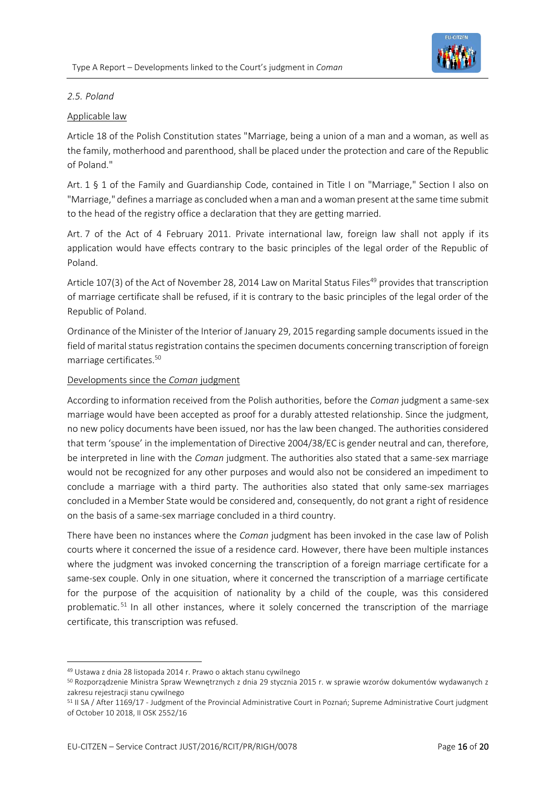

#### *2.5. Poland*

#### Applicable law

Article 18 of the Polish Constitution states "Marriage, being a union of a man and a woman, as well as the family, motherhood and parenthood, shall be placed under the protection and care of the Republic of Poland."

Art. 1 § 1 of the Family and Guardianship Code, contained in Title I on "Marriage," Section I also on "Marriage," defines a marriage as concluded when a man and a woman present at the same time submit to the head of the registry office a declaration that they are getting married.

Art. 7 of the Act of 4 February 2011. Private international law, foreign law shall not apply if its application would have effects contrary to the basic principles of the legal order of the Republic of Poland.

Article 107(3) of the Act of November 28, 2014 Law on Marital Status Files<sup>49</sup> provides that transcription of marriage certificate shall be refused, if it is contrary to the basic principles of the legal order of the Republic of Poland.

Ordinance of the Minister of the Interior of January 29, 2015 regarding sample documents issued in the field of marital status registration contains the specimen documents concerning transcription of foreign marriage certificates.<sup>50</sup>

#### Developments since the *Coman* judgment

According to information received from the Polish authorities, before the *Coman* judgment a same-sex marriage would have been accepted as proof for a durably attested relationship. Since the judgment, no new policy documents have been issued, nor has the law been changed. The authorities considered that term 'spouse' in the implementation of Directive 2004/38/EC is gender neutral and can, therefore, be interpreted in line with the *Coman* judgment. The authorities also stated that a same-sex marriage would not be recognized for any other purposes and would also not be considered an impediment to conclude a marriage with a third party. The authorities also stated that only same-sex marriages concluded in a Member State would be considered and, consequently, do not grant a right of residence on the basis of a same-sex marriage concluded in a third country.

There have been no instances where the *Coman* judgment has been invoked in the case law of Polish courts where it concerned the issue of a residence card. However, there have been multiple instances where the judgment was invoked concerning the transcription of a foreign marriage certificate for a same-sex couple. Only in one situation, where it concerned the transcription of a marriage certificate for the purpose of the acquisition of nationality by a child of the couple, was this considered problematic.<sup>51</sup> In all other instances, where it solely concerned the transcription of the marriage certificate, this transcription was refused.

<sup>49</sup> Ustawa z dnia 28 listopada 2014 r. Prawo o aktach stanu cywilnego

<sup>50</sup> Rozporządzenie Ministra Spraw Wewnętrznych z dnia 29 stycznia 2015 r. w sprawie wzorów dokumentów wydawanych z zakresu rejestracji stanu cywilnego

<sup>51</sup> II SA / After 1169/17 - Judgment of the Provincial Administrative Court in Poznań; Supreme Administrative Court judgment of October 10 2018, II OSK 2552/16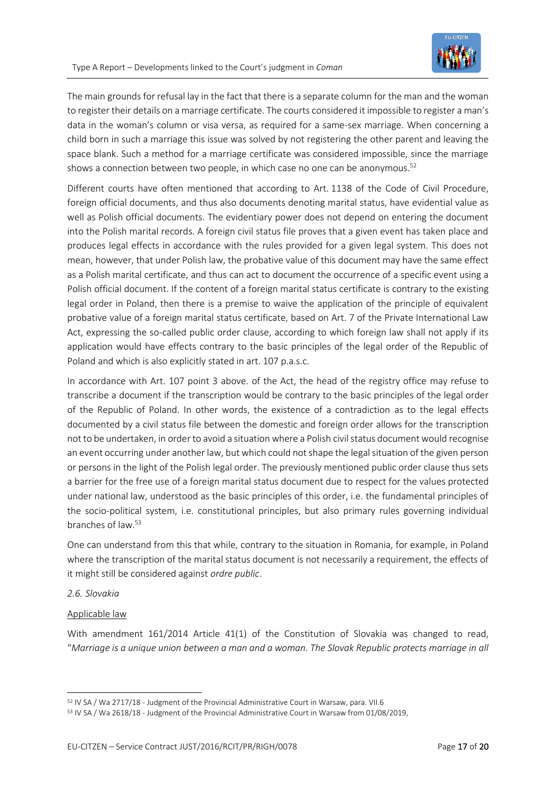

The main grounds for refusal lay in the fact that there is a separate column for the man and the woman to register their details on a marriage certificate. The courts considered it impossible to register a man's data in the woman's column or visa versa, as required for a same-sex marriage. When concerning a child born in such a marriage this issue was solved by not registering the other parent and leaving the space blank. Such a method for a marriage certificate was considered impossible, since the marriage shows a connection between two people, in which case no one can be anonymous.<sup>52</sup>

Different courts have often mentioned that according to Art. 1138 of the Code of Civil Procedure, foreign official documents, and thus also documents denoting marital status, have evidential value as well as Polish official documents. The evidentiary power does not depend on entering the document into the Polish marital records. A foreign civil status file proves that a given event has taken place and produces legal effects in accordance with the rules provided for a given legal system. This does not mean, however, that under Polish law, the probative value of this document may have the same effect as a Polish marital certificate, and thus can act to document the occurrence of a specific event using a Polish official document. If the content of a foreign marital status certificate is contrary to the existing legal order in Poland, then there is a premise to waive the application of the principle of equivalent probative value of a foreign marital status certificate, based on Art. 7 of the Private International Law Act, expressing the so-called public order clause, according to which foreign law shall not apply if its application would have effects contrary to the basic principles of the legal order of the Republic of Poland and which is also explicitly stated in art. 107 p.a.s.c.

In accordance with Art. 107 point 3 above. of the Act, the head of the registry office may refuse to transcribe a document if the transcription would be contrary to the basic principles of the legal order of the Republic of Poland. In other words, the existence of a contradiction as to the legal effects documented by a civil status file between the domestic and foreign order allows for the transcription not to be undertaken, in order to avoid a situation where a Polish civil status document would recognise an event occurring under another law, but which could not shape the legal situation of the given person or persons in the light of the Polish legal order. The previously mentioned public order clause thus sets a barrier for the free use of a foreign marital status document due to respect for the values protected under national law, understood as the basic principles of this order, i.e. the fundamental principles of the socio-political system, i.e. constitutional principles, but also primary rules governing individual branches of law.<sup>53</sup>

One can understand from this that while, contrary to the situation in Romania, for example, in Poland where the transcription of the marital status document is not necessarily a requirement, the effects of it might still be considered against *ordre public*.

#### *2.6. Slovakia*

#### Applicable law

With amendment 161/2014 Article 41(1) of the Constitution of Slovakia was changed to read, "*Marriage is a unique union between a man and a woman. The Slovak Republic protects marriage in all* 

<sup>52</sup> IV SA / Wa 2717/18 - Judgment of the Provincial Administrative Court in Warsaw, para. VII.6

<sup>53</sup> IV SA / Wa 2618/18 - [Judgment of the Provincial Administrative Court in Warsaw from 01/08/2019,](http://www.orzeczenia-nsa.pl/wyrok/iv-sa-wa-2618-18/akty_stanu_cywilnego_akta/2b70974.html)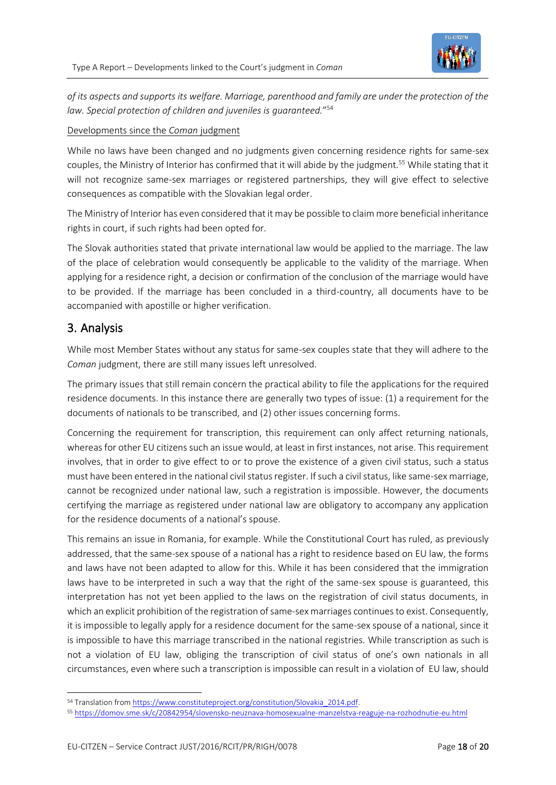

*of its aspects and supports its welfare. Marriage, parenthood and family are under the protection of the law. Special protection of children and juveniles is guaranteed.*" 54

#### Developments since the *Coman* judgment

While no laws have been changed and no judgments given concerning residence rights for same-sex couples, the Ministry of Interior has confirmed that it will abide by the judgment.<sup>55</sup> While stating that it will not recognize same-sex marriages or registered partnerships, they will give effect to selective consequences as compatible with the Slovakian legal order.

The Ministry of Interior has even considered that it may be possible to claim more beneficial inheritance rights in court, if such rights had been opted for.

The Slovak authorities stated that private international law would be applied to the marriage. The law of the place of celebration would consequently be applicable to the validity of the marriage. When applying for a residence right, a decision or confirmation of the conclusion of the marriage would have to be provided. If the marriage has been concluded in a third-country, all documents have to be accompanied with apostille or higher verification.

### 3. Analysis

While most Member States without any status for same-sex couples state that they will adhere to the *Coman* judgment, there are still many issues left unresolved.

The primary issues that still remain concern the practical ability to file the applications for the required residence documents. In this instance there are generally two types of issue: (1) a requirement for the documents of nationals to be transcribed, and (2) other issues concerning forms.

Concerning the requirement for transcription, this requirement can only affect returning nationals, whereas for other EU citizens such an issue would, at least in first instances, not arise. This requirement involves, that in order to give effect to or to prove the existence of a given civil status, such a status must have been entered in the national civil status register. If such a civil status, like same-sex marriage, cannot be recognized under national law, such a registration is impossible. However, the documents certifying the marriage as registered under national law are obligatory to accompany any application for the residence documents of a national's spouse.

This remains an issue in Romania, for example. While the Constitutional Court has ruled, as previously addressed, that the same-sex spouse of a national has a right to residence based on EU law, the forms and laws have not been adapted to allow for this. While it has been considered that the immigration laws have to be interpreted in such a way that the right of the same-sex spouse is guaranteed, this interpretation has not yet been applied to the laws on the registration of civil status documents, in which an explicit prohibition of the registration of same-sex marriages continues to exist. Consequently, it is impossible to legally apply for a residence document for the same-sex spouse of a national, since it is impossible to have this marriage transcribed in the national registries. While transcription as such is not a violation of EU law, obliging the transcription of civil status of one's own nationals in all circumstances, even where such a transcription is impossible can result in a violation of EU law, should

<sup>54</sup> Translation fro[m https://www.constituteproject.org/constitution/Slovakia\\_2014.pdf.](https://www.constituteproject.org/constitution/Slovakia_2014.pdf)

<sup>55</sup> <https://domov.sme.sk/c/20842954/slovensko-neuznava-homosexualne-manzelstva-reaguje-na-rozhodnutie-eu.html>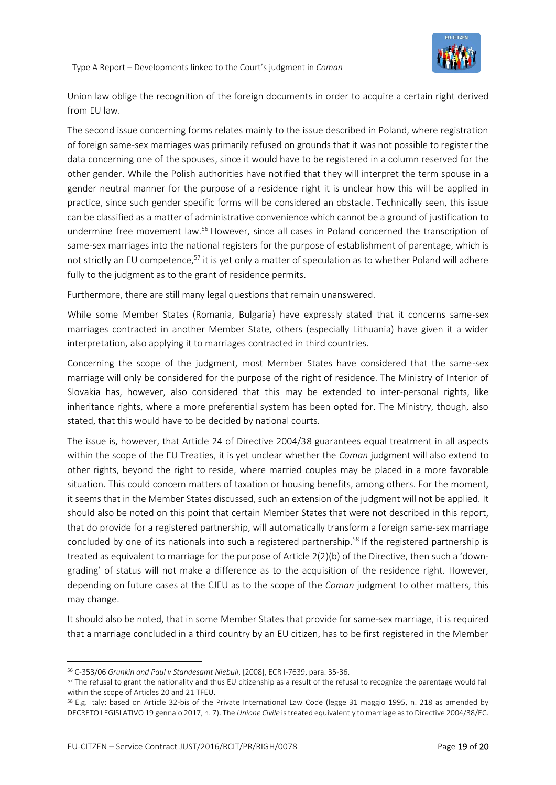

Union law oblige the recognition of the foreign documents in order to acquire a certain right derived from EU law.

The second issue concerning forms relates mainly to the issue described in Poland, where registration of foreign same-sex marriages was primarily refused on grounds that it was not possible to register the data concerning one of the spouses, since it would have to be registered in a column reserved for the other gender. While the Polish authorities have notified that they will interpret the term spouse in a gender neutral manner for the purpose of a residence right it is unclear how this will be applied in practice, since such gender specific forms will be considered an obstacle. Technically seen, this issue can be classified as a matter of administrative convenience which cannot be a ground of justification to undermine free movement law.<sup>56</sup> However, since all cases in Poland concerned the transcription of same-sex marriages into the national registers for the purpose of establishment of parentage, which is not strictly an EU competence,<sup>57</sup> it is yet only a matter of speculation as to whether Poland will adhere fully to the judgment as to the grant of residence permits.

Furthermore, there are still many legal questions that remain unanswered.

While some Member States (Romania, Bulgaria) have expressly stated that it concerns same-sex marriages contracted in another Member State, others (especially Lithuania) have given it a wider interpretation, also applying it to marriages contracted in third countries.

Concerning the scope of the judgment, most Member States have considered that the same-sex marriage will only be considered for the purpose of the right of residence. The Ministry of Interior of Slovakia has, however, also considered that this may be extended to inter-personal rights, like inheritance rights, where a more preferential system has been opted for. The Ministry, though, also stated, that this would have to be decided by national courts.

The issue is, however, that Article 24 of Directive 2004/38 guarantees equal treatment in all aspects within the scope of the EU Treaties, it is yet unclear whether the *Coman* judgment will also extend to other rights, beyond the right to reside, where married couples may be placed in a more favorable situation. This could concern matters of taxation or housing benefits, among others. For the moment, it seems that in the Member States discussed, such an extension of the judgment will not be applied. It should also be noted on this point that certain Member States that were not described in this report, that do provide for a registered partnership, will automatically transform a foreign same-sex marriage concluded by one of its nationals into such a registered partnership.<sup>58</sup> If the registered partnership is treated as equivalent to marriage for the purpose of Article 2(2)(b) of the Directive, then such a 'downgrading' of status will not make a difference as to the acquisition of the residence right. However, depending on future cases at the CJEU as to the scope of the *Coman* judgment to other matters, this may change.

It should also be noted, that in some Member States that provide for same-sex marriage, it is required that a marriage concluded in a third country by an EU citizen, has to be first registered in the Member

<sup>56</sup> C-353/06 *Grunkin and Paul v Standesamt Niebull*, [2008], ECR I-7639, para. 35-36.

<sup>&</sup>lt;sup>57</sup> The refusal to grant the nationality and thus EU citizenship as a result of the refusal to recognize the parentage would fall within the scope of Articles 20 and 21 TFEU.

<sup>58</sup> E.g. Italy: based on Article 32-bis of the Private International Law Code (legge 31 maggio 1995, n. 218 as amended by DECRETO LEGISLATIVO 19 gennaio 2017, n. 7). The *Unione Civile* is treated equivalently to marriage as to Directive 2004/38/EC.